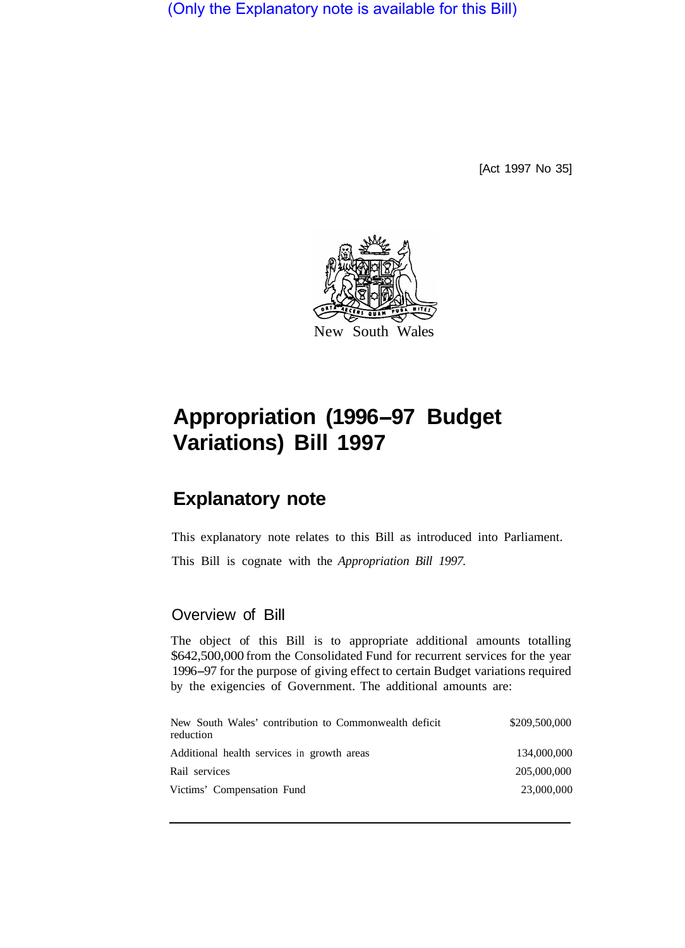(Only the Explanatory note is available for this Bill)

[Act 1997 No 35]



## **Appropriation (1996-97 Budget Variations) Bill 1997**

## **Explanatory note**

This explanatory note relates to this Bill as introduced into Parliament.

This Bill is cognate with the *Appropriation Bill 1997.* 

## Overview of Bill

The object of this Bill is to appropriate additional amounts totalling \$642,500,000 from the Consolidated Fund for recurrent services for the year 1996-97 for the purpose of giving effect to certain Budget variations required by the exigencies of Government. The additional amounts are:

| New South Wales' contribution to Commonwealth deficit<br>reduction | \$209,500,000 |
|--------------------------------------------------------------------|---------------|
| Additional health services in growth areas                         | 134,000,000   |
| Rail services                                                      | 205,000,000   |
| Victims' Compensation Fund                                         | 23,000,000    |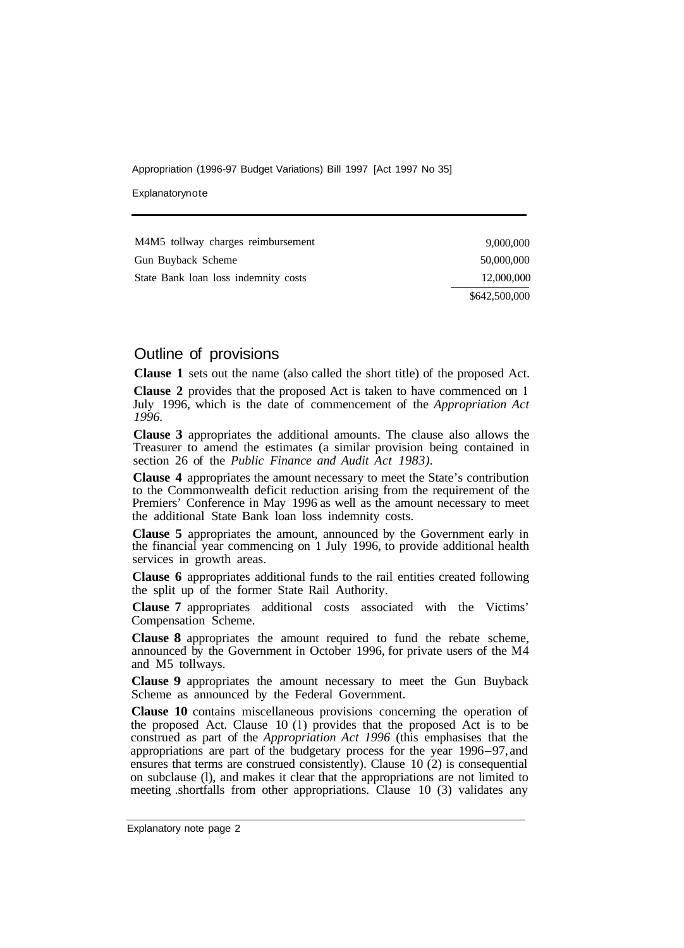Appropriation (1996-97 Budget Variations) Bill 1997 [Act 1997 No 35]

Explanatorynote

| M4M5 tollway charges reimbursement   | 9,000,000     |
|--------------------------------------|---------------|
| Gun Buyback Scheme                   | 50,000,000    |
| State Bank loan loss indemnity costs | 12,000,000    |
|                                      | \$642,500,000 |

## Outline of provisions

**Clause 1** sets out the name (also called the short title) of the proposed Act. **Clause 2** provides that the proposed Act is taken to have commenced on **<sup>1</sup>** July 1996, which is the date of commencement of the *Appropriation Act 1996.* 

**Clause 3** appropriates the additional amounts. The clause also allows the Treasurer to amend the estimates (a similar provision being contained in section 26 of the *Public Finance and Audit Act 1983).* 

**Clause 4** appropriates the amount necessary to meet the State's contribution to the Commonwealth deficit reduction arising from the requirement of the Premiers' Conference in May 1996 as well as the amount necessary to meet the additional State Bank loan loss indemnity costs.

**Clause 5** appropriates the amount, announced by the Government early in the financial year commencing on **1** July 1996, to provide additional health services in growth areas.

**Clause 6** appropriates additional funds to the rail entities created following the split up of the former State Rail Authority.

**Clause 7** appropriates additional costs associated with the Victims' Compensation Scheme.

**Clause 8** appropriates the amount required to fund the rebate scheme, announced by the Government in October 1996, for private users of the M4 and M5 tollways.

**Clause 9** appropriates the amount necessary to meet the Gun Buyback Scheme as announced by the Federal Government.

**Clause 10** contains miscellaneous provisions concerning the operation of the proposed Act. Clause 10 (l) provides that the proposed Act is to be construed as part of the *Appropriation Act 1996* (this emphasises that the appropriations are part of the budgetary process for the year 1996-97, and ensures that terms are construed consistently). Clause  $10(2)$  is consequential on subclause (l), and makes it clear that the appropriations are not limited to meeting .shortfalls from other appropriations. Clause 10 (3) validates any